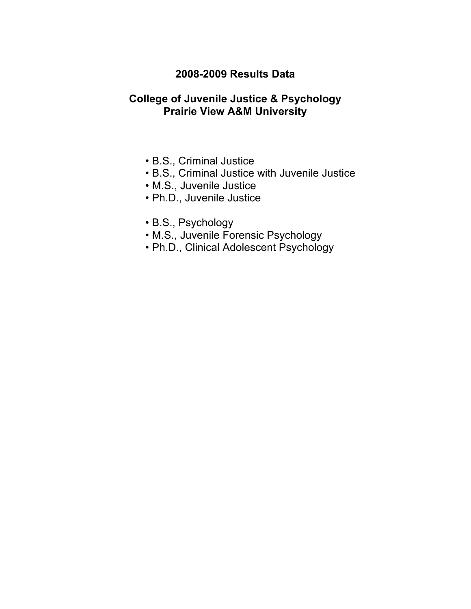## **2008-2009 Results Data**

## **College of Juvenile Justice & Psychology Prairie View A&M University**

- B.S., Criminal Justice
- B.S., Criminal Justice with Juvenile Justice
- M.S., Juvenile Justice
- Ph.D., Juvenile Justice
- B.S., Psychology
- M.S., Juvenile Forensic Psychology
- Ph.D., Clinical Adolescent Psychology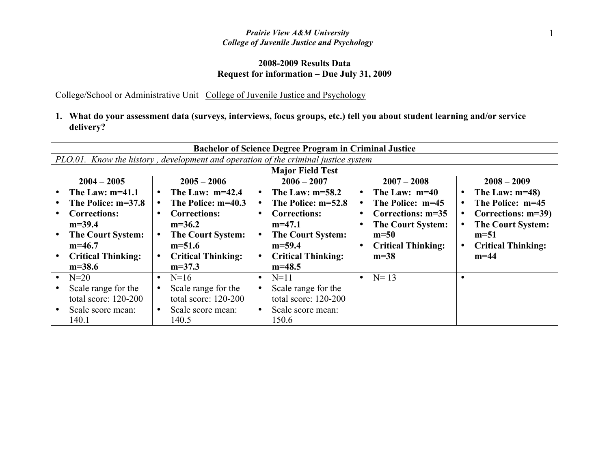### **2008-2009 Results Data Request for information – Due July 31, 2009**

College/School or Administrative Unit College of Juvenile Justice and Psychology

|                           | <b>Bachelor of Science Degree Program in Criminal Justice</b>                      |                                |                              |                                |  |  |  |  |  |
|---------------------------|------------------------------------------------------------------------------------|--------------------------------|------------------------------|--------------------------------|--|--|--|--|--|
|                           | PLO.01. Know the history, development and operation of the criminal justice system |                                |                              |                                |  |  |  |  |  |
|                           | <b>Major Field Test</b>                                                            |                                |                              |                                |  |  |  |  |  |
| $2004 - 2005$             | $2005 - 2006$                                                                      | $2006 - 2007$                  | $2007 - 2008$                | $2008 - 2009$                  |  |  |  |  |  |
| The Law: $m=41.1$         | The Law: $m=42.4$<br>$\bullet$                                                     | The Law: $m=58.2$<br>$\bullet$ | The Law: $m=40$<br>$\bullet$ | The Law: $m=48$ )<br>$\bullet$ |  |  |  |  |  |
| The Police: m=37.8        | The Police: m=40.3                                                                 | The Police: m=52.8             | The Police: m=45             | The Police: m=45               |  |  |  |  |  |
| <b>Corrections:</b>       | <b>Corrections:</b>                                                                | <b>Corrections:</b>            | Corrections: m=35            | Corrections: m=39)             |  |  |  |  |  |
| $m=39.4$                  | $m=36.2$                                                                           | $m=47.1$                       | <b>The Court System:</b>     | <b>The Court System:</b>       |  |  |  |  |  |
| <b>The Court System:</b>  | <b>The Court System:</b>                                                           | <b>The Court System:</b>       | $m=50$                       | $m=51$                         |  |  |  |  |  |
| $m=46.7$                  | $m=51.6$                                                                           | $m=59.4$                       | <b>Critical Thinking:</b>    | <b>Critical Thinking:</b>      |  |  |  |  |  |
| <b>Critical Thinking:</b> | <b>Critical Thinking:</b>                                                          | <b>Critical Thinking:</b>      | $m=38$                       | $m=44$                         |  |  |  |  |  |
| $m=38.6$                  | $m=37.3$                                                                           | $m=48.5$                       |                              |                                |  |  |  |  |  |
| $N=20$                    | $N=16$                                                                             | $N=11$<br>$\bullet$            | • $N = 13$                   |                                |  |  |  |  |  |
| Scale range for the       | Scale range for the                                                                | Scale range for the            |                              |                                |  |  |  |  |  |
| total score: 120-200      | total score: 120-200                                                               | total score: 120-200           |                              |                                |  |  |  |  |  |
| Scale score mean:         | Scale score mean:<br>$\bullet$                                                     | Scale score mean:              |                              |                                |  |  |  |  |  |
| 140.1                     | 140.5                                                                              | 150.6                          |                              |                                |  |  |  |  |  |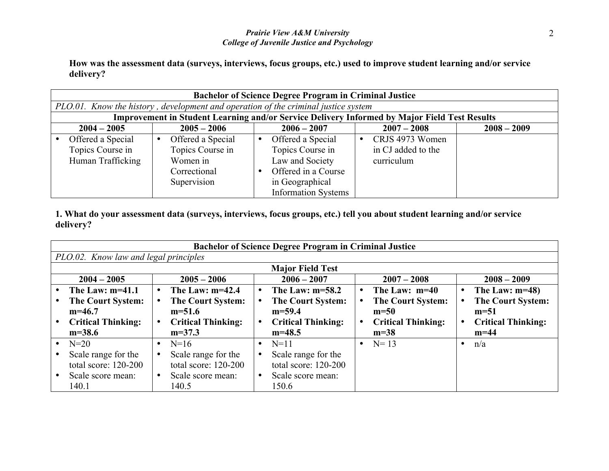**How was the assessment data (surveys, interviews, focus groups, etc.) used to improve student learning and/or service delivery?** 

| <b>Bachelor of Science Degree Program in Criminal Justice</b>                      |                                                                                  |                                                                                                                                  |                                                                                                     |               |  |  |  |  |
|------------------------------------------------------------------------------------|----------------------------------------------------------------------------------|----------------------------------------------------------------------------------------------------------------------------------|-----------------------------------------------------------------------------------------------------|---------------|--|--|--|--|
| PLO.01. Know the history, development and operation of the criminal justice system |                                                                                  |                                                                                                                                  |                                                                                                     |               |  |  |  |  |
|                                                                                    |                                                                                  |                                                                                                                                  | <b>Improvement in Student Learning and/or Service Delivery Informed by Major Field Test Results</b> |               |  |  |  |  |
| $2004 - 2005$                                                                      | $2005 - 2006$                                                                    | $2006 - 2007$                                                                                                                    | $2007 - 2008$                                                                                       | $2008 - 2009$ |  |  |  |  |
| Offered a Special<br>Topics Course in<br>Human Trafficking                         | Offered a Special<br>Topics Course in<br>Women in<br>Correctional<br>Supervision | Offered a Special<br>Topics Course in<br>Law and Society<br>Offered in a Course<br>in Geographical<br><b>Information Systems</b> | CRJS 4973 Women<br>in CJ added to the<br>curriculum                                                 |               |  |  |  |  |

| <b>Bachelor of Science Degree Program in Criminal Justice</b> |                           |           |                           |           |                           |           |                           |  |
|---------------------------------------------------------------|---------------------------|-----------|---------------------------|-----------|---------------------------|-----------|---------------------------|--|
| PLO.02. Know law and legal principles                         |                           |           |                           |           |                           |           |                           |  |
| <b>Major Field Test</b>                                       |                           |           |                           |           |                           |           |                           |  |
| $2004 - 2005$                                                 | $2005 - 2006$             |           | $2006 - 2007$             |           | $2007 - 2008$             |           | $2008 - 2009$             |  |
| The Law: $m=41.1$                                             | The Law: $m=42.4$         |           | The Law: $m=58.2$         | $\bullet$ | The Law: $m=40$           |           | The Law: $m=48$ )         |  |
| <b>The Court System:</b>                                      | <b>The Court System:</b>  |           | <b>The Court System:</b>  |           | <b>The Court System:</b>  |           | <b>The Court System:</b>  |  |
| $m=46.7$                                                      | $m=51.6$                  |           | $m=59.4$                  |           | $m=50$                    |           | $m=51$                    |  |
| <b>Critical Thinking:</b>                                     | <b>Critical Thinking:</b> |           | <b>Critical Thinking:</b> |           | <b>Critical Thinking:</b> |           | <b>Critical Thinking:</b> |  |
| $m=38.6$                                                      | $m=37.3$                  |           | $m=48.5$                  |           | $m=38$                    |           | $m=44$                    |  |
| $N=20$                                                        | $N=16$                    | $\bullet$ | $N=11$                    |           | • $N=13$                  | $\bullet$ | n/a                       |  |
| Scale range for the                                           | Scale range for the       | $\bullet$ | Scale range for the       |           |                           |           |                           |  |
| total score: 120-200                                          | total score: 120-200      |           | total score: 120-200      |           |                           |           |                           |  |
| Scale score mean:                                             | Scale score mean:         |           | Scale score mean:         |           |                           |           |                           |  |
| 140.1                                                         | 140.5                     |           | 150.6                     |           |                           |           |                           |  |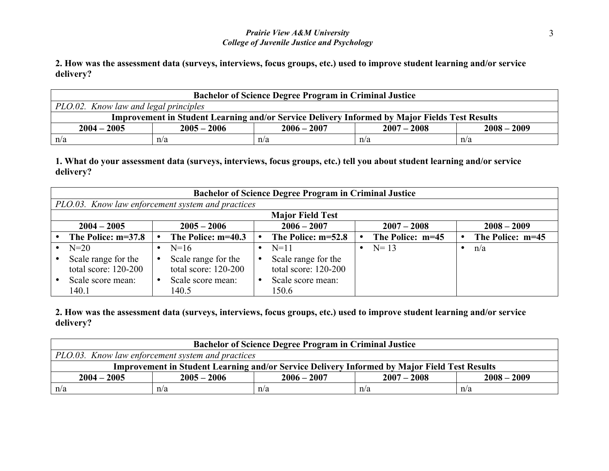**2. How was the assessment data (surveys, interviews, focus groups, etc.) used to improve student learning and/or service delivery?** 

| <b>Bachelor of Science Degree Program in Criminal Justice</b>                                        |     |     |     |     |  |  |  |
|------------------------------------------------------------------------------------------------------|-----|-----|-----|-----|--|--|--|
| PLO.02. Know law and legal principles                                                                |     |     |     |     |  |  |  |
| <b>Improvement in Student Learning and/or Service Delivery Informed by Major Fields Test Results</b> |     |     |     |     |  |  |  |
| $2005 - 2006$<br>$2006 - 2007$<br>$2007 - 2008$<br>$2008 - 2009$<br>$2004 - 2005$                    |     |     |     |     |  |  |  |
| n/a                                                                                                  | n/a | n/a | n/a | n/a |  |  |  |

**1. What do your assessment data (surveys, interviews, focus groups, etc.) tell you about student learning and/or service delivery?**

| <b>Bachelor of Science Degree Program in Criminal Justice</b> |  |                      |  |                      |  |                  |  |                  |
|---------------------------------------------------------------|--|----------------------|--|----------------------|--|------------------|--|------------------|
| PLO.03. Know law enforcement system and practices             |  |                      |  |                      |  |                  |  |                  |
| <b>Major Field Test</b>                                       |  |                      |  |                      |  |                  |  |                  |
| $2004 - 2005$                                                 |  | $2005 - 2006$        |  | $2006 - 2007$        |  | $2007 - 2008$    |  | $2008 - 2009$    |
| The Police: m=37.8                                            |  | The Police: m=40.3   |  | The Police: m=52.8   |  | The Police: m=45 |  | The Police: m=45 |
| $N=20$                                                        |  | $N=16$               |  | $N = 11$             |  | • $N=13$         |  | n/a              |
| Scale range for the                                           |  | Scale range for the  |  | Scale range for the  |  |                  |  |                  |
| total score: $120-200$                                        |  | total score: 120-200 |  | total score: 120-200 |  |                  |  |                  |
| Scale score mean:                                             |  | Scale score mean:    |  | Scale score mean:    |  |                  |  |                  |
| 140.1                                                         |  | 140.5                |  | 150.6                |  |                  |  |                  |

| <b>Bachelor of Science Degree Program in Criminal Justice</b>                                       |  |  |  |  |  |  |  |
|-----------------------------------------------------------------------------------------------------|--|--|--|--|--|--|--|
| PLO.03. Know law enforcement system and practices                                                   |  |  |  |  |  |  |  |
| <b>Improvement in Student Learning and/or Service Delivery Informed by Major Field Test Results</b> |  |  |  |  |  |  |  |
| $2004 - 2005$<br>$2007 - 2008$<br>$2008 - 2009$<br>$2005 - 2006$<br>$2006 - 2007$                   |  |  |  |  |  |  |  |
| n/a<br>n/a<br>n/a<br>n/a<br>n/a                                                                     |  |  |  |  |  |  |  |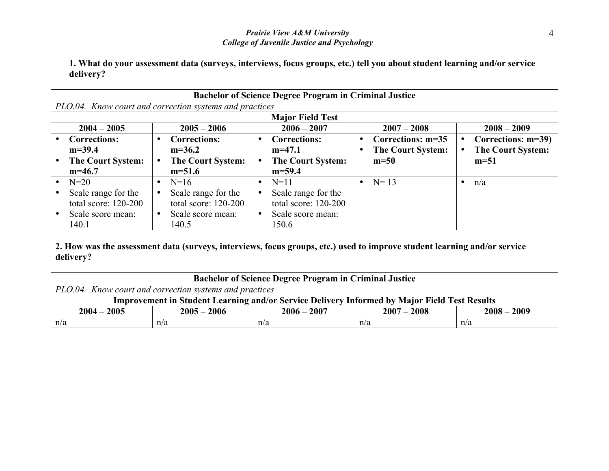**1. What do your assessment data (surveys, interviews, focus groups, etc.) tell you about student learning and/or service delivery?**

| <b>Bachelor of Science Degree Program in Criminal Justice</b> |                          |  |                          |  |                          |  |                          |
|---------------------------------------------------------------|--------------------------|--|--------------------------|--|--------------------------|--|--------------------------|
| PLO.04. Know court and correction systems and practices       |                          |  |                          |  |                          |  |                          |
|                                                               |                          |  | <b>Major Field Test</b>  |  |                          |  |                          |
| $2004 - 2005$                                                 | $2005 - 2006$            |  | $2006 - 2007$            |  | $2007 - 2008$            |  | $2008 - 2009$            |
| <b>Corrections:</b>                                           | <b>Corrections:</b>      |  | <b>Corrections:</b>      |  | Corrections: m=35        |  | Corrections: m=39)       |
| $m=39.4$                                                      | $m=36.2$                 |  | $m=47.1$                 |  | <b>The Court System:</b> |  | <b>The Court System:</b> |
| <b>The Court System:</b>                                      | <b>The Court System:</b> |  | <b>The Court System:</b> |  | $m=50$                   |  | $m=51$                   |
| $m=46.7$                                                      | $m=51.6$                 |  | $m=59.4$                 |  |                          |  |                          |
| $N=20$                                                        | $N=16$                   |  | $N=11$                   |  | $N = 13$                 |  | n/a                      |
| Scale range for the                                           | Scale range for the      |  | Scale range for the      |  |                          |  |                          |
| total score: $120-200$                                        | total score: $120-200$   |  | total score: 120-200     |  |                          |  |                          |
| Scale score mean:                                             | Scale score mean:        |  | Scale score mean:        |  |                          |  |                          |
| 140.1                                                         | 140.5                    |  | 150.6                    |  |                          |  |                          |

| <b>Bachelor of Science Degree Program in Criminal Justice</b>                                       |  |  |  |  |  |  |  |
|-----------------------------------------------------------------------------------------------------|--|--|--|--|--|--|--|
| PLO.04. Know court and correction systems and practices                                             |  |  |  |  |  |  |  |
| <b>Improvement in Student Learning and/or Service Delivery Informed by Major Field Test Results</b> |  |  |  |  |  |  |  |
| $2008 - 2009$<br>$2004 - 2005$<br>$2005 - 2006$<br>$2006 - 2007$<br>$2007 - 2008$                   |  |  |  |  |  |  |  |
| n/a<br>n/a<br>n/a<br>n/a<br>n/a                                                                     |  |  |  |  |  |  |  |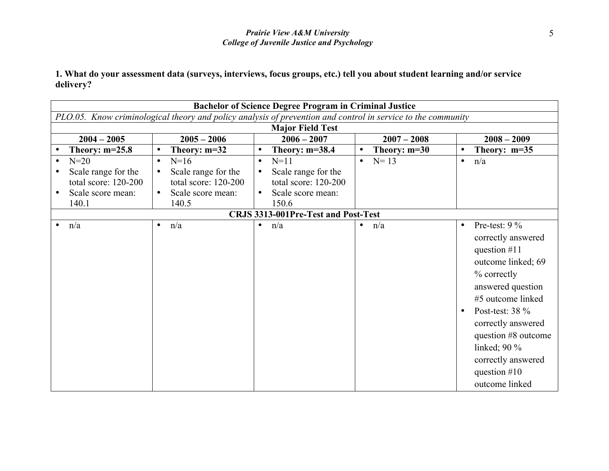|           |                         |                                                                                                              |           |                                     |           |                | <b>Bachelor of Science Degree Program in Criminal Justice</b> |                                                                                                                                                                                                                                                                                    |  |  |  |  |  |  |  |
|-----------|-------------------------|--------------------------------------------------------------------------------------------------------------|-----------|-------------------------------------|-----------|----------------|---------------------------------------------------------------|------------------------------------------------------------------------------------------------------------------------------------------------------------------------------------------------------------------------------------------------------------------------------------|--|--|--|--|--|--|--|
|           |                         | PLO.05. Know criminological theory and policy analysis of prevention and control in service to the community |           |                                     |           |                |                                                               |                                                                                                                                                                                                                                                                                    |  |  |  |  |  |  |  |
|           | <b>Major Field Test</b> |                                                                                                              |           |                                     |           |                |                                                               |                                                                                                                                                                                                                                                                                    |  |  |  |  |  |  |  |
|           | $2004 - 2005$           | $2005 - 2006$                                                                                                |           | $2006 - 2007$                       |           | $2007 - 2008$  |                                                               | $2008 - 2009$                                                                                                                                                                                                                                                                      |  |  |  |  |  |  |  |
|           | Theory: $m=25.8$        | Theory: $m=32$                                                                                               |           | Theory: $m=38.4$                    |           | Theory: $m=30$ |                                                               | Theory: $m=35$                                                                                                                                                                                                                                                                     |  |  |  |  |  |  |  |
|           | $N=20$                  | $N=16$<br>$\bullet$                                                                                          | $\bullet$ | $N=11$                              |           | $N = 13$       | $\bullet$                                                     | n/a                                                                                                                                                                                                                                                                                |  |  |  |  |  |  |  |
|           | Scale range for the     | Scale range for the<br>$\bullet$                                                                             |           | Scale range for the                 |           |                |                                                               |                                                                                                                                                                                                                                                                                    |  |  |  |  |  |  |  |
|           | total score: 120-200    | total score: 120-200                                                                                         |           | total score: 120-200                |           |                |                                                               |                                                                                                                                                                                                                                                                                    |  |  |  |  |  |  |  |
|           | Scale score mean:       | Scale score mean:                                                                                            |           | Scale score mean:                   |           |                |                                                               |                                                                                                                                                                                                                                                                                    |  |  |  |  |  |  |  |
|           | 140.1                   | 140.5                                                                                                        |           | 150.6                               |           |                |                                                               |                                                                                                                                                                                                                                                                                    |  |  |  |  |  |  |  |
|           |                         |                                                                                                              |           | CRJS 3313-001Pre-Test and Post-Test |           |                |                                                               |                                                                                                                                                                                                                                                                                    |  |  |  |  |  |  |  |
| $\bullet$ | n/a                     | n/a<br>$\bullet$                                                                                             | $\bullet$ | n/a                                 | $\bullet$ | n/a            | $\bullet$<br>$\bullet$                                        | Pre-test: $9\%$<br>correctly answered<br>question $#11$<br>outcome linked; 69<br>% correctly<br>answered question<br>#5 outcome linked<br>Post-test: 38 %<br>correctly answered<br>question #8 outcome<br>linked; $90\%$<br>correctly answered<br>question $#10$<br>outcome linked |  |  |  |  |  |  |  |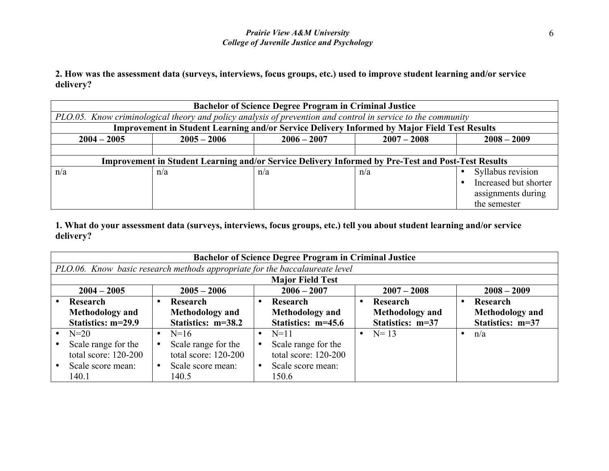**2. How was the assessment data (surveys, interviews, focus groups, etc.) used to improve student learning and/or service delivery?** 

|                                                                                                              | <b>Bachelor of Science Degree Program in Criminal Justice</b> |               |                                                                                                           |                       |  |  |  |  |
|--------------------------------------------------------------------------------------------------------------|---------------------------------------------------------------|---------------|-----------------------------------------------------------------------------------------------------------|-----------------------|--|--|--|--|
| PLO.05. Know criminological theory and policy analysis of prevention and control in service to the community |                                                               |               |                                                                                                           |                       |  |  |  |  |
|                                                                                                              |                                                               |               | <b>Improvement in Student Learning and/or Service Delivery Informed by Major Field Test Results</b>       |                       |  |  |  |  |
| $2004 - 2005$                                                                                                | $2005 - 2006$                                                 | $2006 - 2007$ | $2007 - 2008$                                                                                             | $2008 - 2009$         |  |  |  |  |
|                                                                                                              |                                                               |               |                                                                                                           |                       |  |  |  |  |
|                                                                                                              |                                                               |               | <b>Improvement in Student Learning and/or Service Delivery Informed by Pre-Test and Post-Test Results</b> |                       |  |  |  |  |
| n/a                                                                                                          | n/a                                                           | n/a           | n/a                                                                                                       | Syllabus revision     |  |  |  |  |
|                                                                                                              |                                                               |               |                                                                                                           | Increased but shorter |  |  |  |  |
|                                                                                                              |                                                               |               |                                                                                                           | assignments during    |  |  |  |  |
|                                                                                                              |                                                               |               |                                                                                                           | the semester          |  |  |  |  |

| <b>Bachelor of Science Degree Program in Criminal Justice</b> |                                                                             |           |                        |  |                        |  |                        |  |
|---------------------------------------------------------------|-----------------------------------------------------------------------------|-----------|------------------------|--|------------------------|--|------------------------|--|
|                                                               | PLO.06. Know basic research methods appropriate for the baccalaureate level |           |                        |  |                        |  |                        |  |
| <b>Major Field Test</b>                                       |                                                                             |           |                        |  |                        |  |                        |  |
| $2004 - 2005$                                                 | $2005 - 2006$                                                               |           | $2006 - 2007$          |  | $2007 - 2008$          |  | $2008 - 2009$          |  |
| Research                                                      | Research                                                                    |           | Research               |  | Research               |  | Research               |  |
| <b>Methodology</b> and                                        | <b>Methodology</b> and                                                      |           | <b>Methodology and</b> |  | <b>Methodology</b> and |  | <b>Methodology</b> and |  |
| Statistics: m=29.9                                            | Statistics: m=38.2                                                          |           | Statistics: m=45.6     |  | Statistics: m=37       |  | Statistics: m=37       |  |
| $N=20$                                                        | $N=16$                                                                      | $\bullet$ | $N=11$                 |  | • $N=13$               |  | n/a                    |  |
| Scale range for the                                           | Scale range for the                                                         |           | Scale range for the    |  |                        |  |                        |  |
| total score: $120-200$                                        | total score: $120-200$                                                      |           | total score: $120-200$ |  |                        |  |                        |  |
| Scale score mean:                                             | Scale score mean:                                                           |           | Scale score mean:      |  |                        |  |                        |  |
| 140.1                                                         | 140.5                                                                       |           | 150.6                  |  |                        |  |                        |  |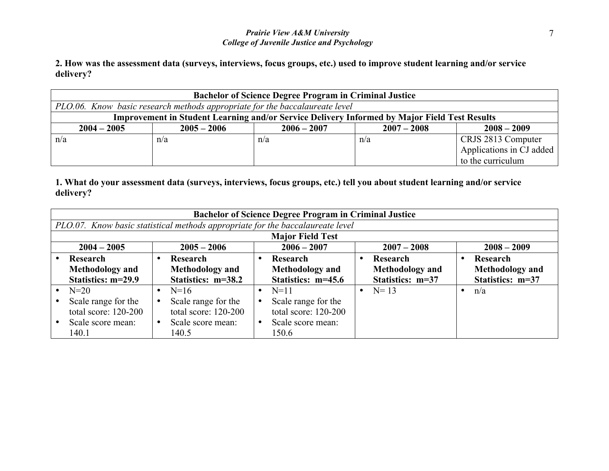**2. How was the assessment data (surveys, interviews, focus groups, etc.) used to improve student learning and/or service delivery?** 

| <b>Bachelor of Science Degree Program in Criminal Justice</b>                                       |                                                                             |               |               |                          |  |  |  |  |
|-----------------------------------------------------------------------------------------------------|-----------------------------------------------------------------------------|---------------|---------------|--------------------------|--|--|--|--|
|                                                                                                     | PLO.06. Know basic research methods appropriate for the baccalaureate level |               |               |                          |  |  |  |  |
| <b>Improvement in Student Learning and/or Service Delivery Informed by Major Field Test Results</b> |                                                                             |               |               |                          |  |  |  |  |
| $2004 - 2005$                                                                                       | $2005 - 2006$                                                               | $2006 - 2007$ | $2007 - 2008$ | $2008 - 2009$            |  |  |  |  |
| n/a                                                                                                 | n/a                                                                         | n/a           | n/a           | CRJS 2813 Computer       |  |  |  |  |
|                                                                                                     |                                                                             |               |               | Applications in CJ added |  |  |  |  |
|                                                                                                     |                                                                             |               |               | to the curriculum        |  |  |  |  |

| <b>Bachelor of Science Degree Program in Criminal Justice</b> |                                                                                |  |                         |  |                        |  |                        |  |
|---------------------------------------------------------------|--------------------------------------------------------------------------------|--|-------------------------|--|------------------------|--|------------------------|--|
|                                                               | PLO.07. Know basic statistical methods appropriate for the baccalaureate level |  |                         |  |                        |  |                        |  |
|                                                               |                                                                                |  | <b>Major Field Test</b> |  |                        |  |                        |  |
| $2004 - 2005$                                                 | $2005 - 2006$                                                                  |  | $2006 - 2007$           |  | $2007 - 2008$          |  | $2008 - 2009$          |  |
| Research                                                      | Research                                                                       |  | Research                |  | Research               |  | Research               |  |
| <b>Methodology</b> and                                        | <b>Methodology</b> and                                                         |  | <b>Methodology</b> and  |  | <b>Methodology</b> and |  | <b>Methodology</b> and |  |
| Statistics: m=29.9                                            | Statistics: m=38.2                                                             |  | Statistics: m=45.6      |  | Statistics: m=37       |  | Statistics: m=37       |  |
| $N=20$                                                        | $N=16$<br>$\bullet$                                                            |  | $N=11$                  |  | • $N=13$               |  | n/a                    |  |
| Scale range for the                                           | Scale range for the                                                            |  | Scale range for the     |  |                        |  |                        |  |
| total score: $120-200$                                        | total score: $120-200$                                                         |  | total score: 120-200    |  |                        |  |                        |  |
| Scale score mean:                                             | Scale score mean:                                                              |  | Scale score mean:       |  |                        |  |                        |  |
| 140.1                                                         | 140.5                                                                          |  | 150.6                   |  |                        |  |                        |  |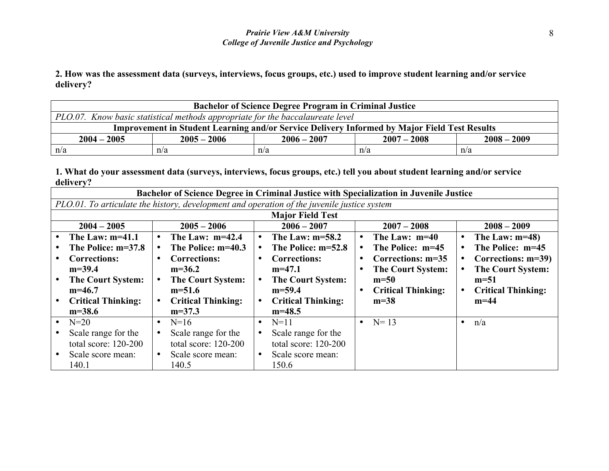**2. How was the assessment data (surveys, interviews, focus groups, etc.) used to improve student learning and/or service delivery?** 

| <b>Bachelor of Science Degree Program in Criminal Justice</b>                     |                                                                                                     |     |     |     |  |  |  |  |
|-----------------------------------------------------------------------------------|-----------------------------------------------------------------------------------------------------|-----|-----|-----|--|--|--|--|
| PLO.07. Know basic statistical methods appropriate for the baccalaureate level    |                                                                                                     |     |     |     |  |  |  |  |
|                                                                                   | <b>Improvement in Student Learning and/or Service Delivery Informed by Major Field Test Results</b> |     |     |     |  |  |  |  |
| $2005 - 2006$<br>$2006 - 2007$<br>$2007 - 2008$<br>$2008 - 2009$<br>$2004 - 2005$ |                                                                                                     |     |     |     |  |  |  |  |
| n/a                                                                               | n/a                                                                                                 | n/a | n/a | n/a |  |  |  |  |

|                                        | Bachelor of Science Degree in Criminal Justice with Specialization in Juvenile Justice      |                                |                               |                                |  |  |  |  |  |
|----------------------------------------|---------------------------------------------------------------------------------------------|--------------------------------|-------------------------------|--------------------------------|--|--|--|--|--|
|                                        | PLO.01. To articulate the history, development and operation of the juvenile justice system |                                |                               |                                |  |  |  |  |  |
|                                        | <b>Major Field Test</b>                                                                     |                                |                               |                                |  |  |  |  |  |
| $2004 - 2005$                          | $2005 - 2006$                                                                               | $2006 - 2007$                  | $2007 - 2008$                 | $2008 - 2009$                  |  |  |  |  |  |
| The Law: $m=41.1$                      | The Law: $m=42.4$<br>$\bullet$                                                              | The Law: $m=58.2$<br>$\bullet$ | The Law: m=40<br>$\bullet$    | The Law: $m=48$ )<br>$\bullet$ |  |  |  |  |  |
| The Police: $m=37.8$                   | The Police: m=40.3                                                                          | The Police: m=52.8             | The Police: m=45<br>$\bullet$ | The Police: m=45               |  |  |  |  |  |
| <b>Corrections:</b>                    | <b>Corrections:</b>                                                                         | <b>Corrections:</b>            | Corrections: m=35             | Corrections: m=39)             |  |  |  |  |  |
| $m=39.4$                               | $m=36.2$                                                                                    | $m=47.1$                       | <b>The Court System:</b>      | <b>The Court System:</b>       |  |  |  |  |  |
| <b>The Court System:</b>               | <b>The Court System:</b>                                                                    | <b>The Court System:</b>       | $m=50$                        | $m=51$                         |  |  |  |  |  |
| $m=46.7$                               | $m=51.6$                                                                                    | $m=59.4$                       | <b>Critical Thinking:</b>     | <b>Critical Thinking:</b>      |  |  |  |  |  |
| <b>Critical Thinking:</b><br>$\bullet$ | <b>Critical Thinking:</b><br>$\bullet$                                                      | <b>Critical Thinking:</b>      | $m=38$                        | $m=44$                         |  |  |  |  |  |
| $m=38.6$                               | $m=37.3$                                                                                    | $m=48.5$                       |                               |                                |  |  |  |  |  |
| $N=20$<br>$\bullet$                    | $N=16$                                                                                      | $N=11$<br>$\bullet$            | $N = 13$<br>$\bullet$         | n/a<br>$\bullet$               |  |  |  |  |  |
| Scale range for the                    | Scale range for the                                                                         | Scale range for the            |                               |                                |  |  |  |  |  |
| total score: 120-200                   | total score: 120-200                                                                        | total score: 120-200           |                               |                                |  |  |  |  |  |
| Scale score mean:                      | Scale score mean:<br>$\bullet$                                                              | Scale score mean:              |                               |                                |  |  |  |  |  |
| 140.1                                  | 140.5                                                                                       | 150.6                          |                               |                                |  |  |  |  |  |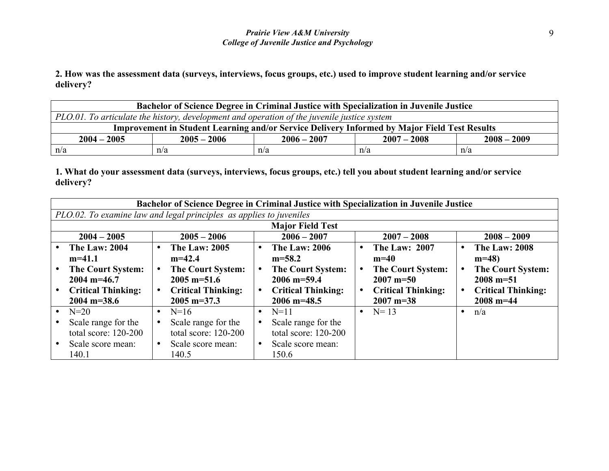**2. How was the assessment data (surveys, interviews, focus groups, etc.) used to improve student learning and/or service delivery?** 

| <b>Bachelor of Science Degree in Criminal Justice with Specialization in Juvenile Justice</b> |                                                                                             |     |                                                                                                     |     |  |  |  |
|-----------------------------------------------------------------------------------------------|---------------------------------------------------------------------------------------------|-----|-----------------------------------------------------------------------------------------------------|-----|--|--|--|
|                                                                                               | PLO.01. To articulate the history, development and operation of the juvenile justice system |     |                                                                                                     |     |  |  |  |
|                                                                                               |                                                                                             |     | <b>Improvement in Student Learning and/or Service Delivery Informed by Major Field Test Results</b> |     |  |  |  |
| $2008 - 2009$<br>$2005 - 2006$<br>$2006 - 2007$<br>$2007 - 2008$<br>$2004 - 2005$             |                                                                                             |     |                                                                                                     |     |  |  |  |
| n/a                                                                                           | n/a                                                                                         | n/a | n/a                                                                                                 | n/a |  |  |  |

| Bachelor of Science Degree in Criminal Justice with Specialization in Juvenile Justice                                                          |                                                                                                                                                    |           |                                                                                                                             |                        |                                                                                                                                 |           |                                                                                                                       |  |  |
|-------------------------------------------------------------------------------------------------------------------------------------------------|----------------------------------------------------------------------------------------------------------------------------------------------------|-----------|-----------------------------------------------------------------------------------------------------------------------------|------------------------|---------------------------------------------------------------------------------------------------------------------------------|-----------|-----------------------------------------------------------------------------------------------------------------------|--|--|
| PLO.02. To examine law and legal principles as applies to juveniles                                                                             |                                                                                                                                                    |           |                                                                                                                             |                        |                                                                                                                                 |           |                                                                                                                       |  |  |
| <b>Major Field Test</b>                                                                                                                         |                                                                                                                                                    |           |                                                                                                                             |                        |                                                                                                                                 |           |                                                                                                                       |  |  |
| $2004 - 2005$                                                                                                                                   | $2005 - 2006$                                                                                                                                      |           | $2006 - 2007$                                                                                                               |                        | $2007 - 2008$                                                                                                                   |           | $2008 - 2009$                                                                                                         |  |  |
| <b>The Law: 2004</b><br>$m=41.1$<br><b>The Court System:</b><br>$2004 \text{ m} = 46.7$<br><b>Critical Thinking:</b><br>$2004 \text{ m} = 38.6$ | <b>The Law: 2005</b><br>$\bullet$<br>$m=42.4$<br><b>The Court System:</b><br>$2005$ m=51.6<br><b>Critical Thinking:</b><br>$2005 \text{ m} = 37.3$ |           | <b>The Law: 2006</b><br>$m=58.2$<br><b>The Court System:</b><br>$2006$ m=59.4<br><b>Critical Thinking:</b><br>$2006$ m=48.5 | $\bullet$<br>$\bullet$ | <b>The Law: 2007</b><br>$m=40$<br><b>The Court System:</b><br>$2007 \text{ m} = 50$<br><b>Critical Thinking:</b><br>$2007$ m=38 | $\bullet$ | <b>The Law: 2008</b><br>$m=48$<br><b>The Court System:</b><br>$2008$ m=51<br><b>Critical Thinking:</b><br>$2008$ m=44 |  |  |
| $N=20$                                                                                                                                          | $N=16$<br>$\bullet$                                                                                                                                | $\bullet$ | $N=11$                                                                                                                      | $\bullet$              | $N = 13$                                                                                                                        | $\bullet$ | n/a                                                                                                                   |  |  |
| Scale range for the<br>total score: 120-200                                                                                                     | Scale range for the<br>total score: 120-200                                                                                                        |           | Scale range for the<br>total score: 120-200                                                                                 |                        |                                                                                                                                 |           |                                                                                                                       |  |  |
| Scale score mean:<br>140.1                                                                                                                      | Scale score mean:<br>140.5                                                                                                                         |           | Scale score mean:<br>150.6                                                                                                  |                        |                                                                                                                                 |           |                                                                                                                       |  |  |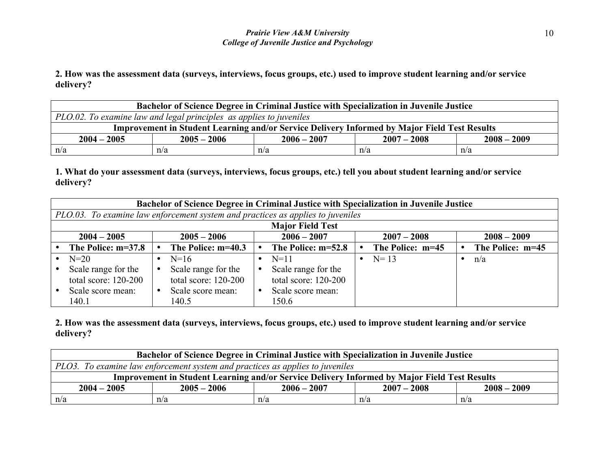**2. How was the assessment data (surveys, interviews, focus groups, etc.) used to improve student learning and/or service delivery?** 

| <b>Bachelor of Science Degree in Criminal Justice with Specialization in Juvenile Justice</b> |                                                                                              |     |     |     |  |  |  |  |
|-----------------------------------------------------------------------------------------------|----------------------------------------------------------------------------------------------|-----|-----|-----|--|--|--|--|
|                                                                                               | PLO.02. To examine law and legal principles as applies to juveniles                          |     |     |     |  |  |  |  |
|                                                                                               | Improvement in Student Learning and/or Service Delivery Informed by Major Field Test Results |     |     |     |  |  |  |  |
| $2005 - 2006$<br>$2006 - 2007$<br>$2007 - 2008$<br>$2008 - 2009$<br>$2004 - 2005$             |                                                                                              |     |     |     |  |  |  |  |
| n/a                                                                                           | n/a                                                                                          | n/a | n/a | n/a |  |  |  |  |

**1. What do your assessment data (surveys, interviews, focus groups, etc.) tell you about student learning and/or service delivery?**

|                        | Bachelor of Science Degree in Criminal Justice with Specialization in Juvenile Justice |  |                        |  |                      |  |                  |  |                  |
|------------------------|----------------------------------------------------------------------------------------|--|------------------------|--|----------------------|--|------------------|--|------------------|
|                        | PLO.03. To examine law enforcement system and practices as applies to juveniles        |  |                        |  |                      |  |                  |  |                  |
|                        | <b>Major Field Test</b>                                                                |  |                        |  |                      |  |                  |  |                  |
| $2004 - 2005$          |                                                                                        |  | $2005 - 2006$          |  | $2006 - 2007$        |  | $2007 - 2008$    |  | $2008 - 2009$    |
| The Police: m=37.8     |                                                                                        |  | The Police: m=40.3     |  | The Police: m=52.8   |  | The Police: m=45 |  | The Police: m=45 |
| $N=20$                 |                                                                                        |  | $N=16$                 |  | $N=11$               |  | $N = 13$         |  | n/a              |
| Scale range for the    |                                                                                        |  | Scale range for the    |  | Scale range for the  |  |                  |  |                  |
| total score: $120-200$ |                                                                                        |  | total score: $120-200$ |  | total score: 120-200 |  |                  |  |                  |
| Scale score mean:      |                                                                                        |  | Scale score mean:      |  | Scale score mean:    |  |                  |  |                  |
| 140.1                  |                                                                                        |  | 140.5                  |  | 150.6                |  |                  |  |                  |

| <b>Bachelor of Science Degree in Criminal Justice with Specialization in Juvenile Justice</b> |                                                                                              |     |     |     |  |  |  |  |
|-----------------------------------------------------------------------------------------------|----------------------------------------------------------------------------------------------|-----|-----|-----|--|--|--|--|
|                                                                                               | PLO3. To examine law enforcement system and practices as applies to juveniles                |     |     |     |  |  |  |  |
|                                                                                               | Improvement in Student Learning and/or Service Delivery Informed by Major Field Test Results |     |     |     |  |  |  |  |
| $2005 - 2006$<br>$2008 - 2009$<br>$2004 - 2005$<br>$2006 - 2007$<br>$2007 - 2008$             |                                                                                              |     |     |     |  |  |  |  |
| n/a                                                                                           | n/a                                                                                          | n/a | n/a | n/a |  |  |  |  |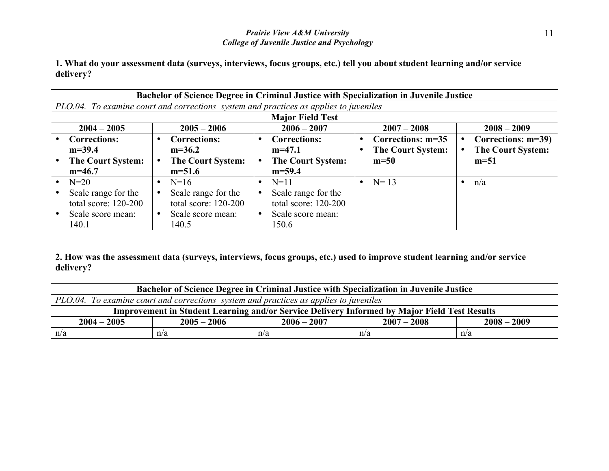**1. What do your assessment data (surveys, interviews, focus groups, etc.) tell you about student learning and/or service delivery?**

|                          | Bachelor of Science Degree in Criminal Justice with Specialization in Juvenile Justice |                          |                          |                          |  |  |  |  |  |
|--------------------------|----------------------------------------------------------------------------------------|--------------------------|--------------------------|--------------------------|--|--|--|--|--|
|                          | PLO.04. To examine court and corrections system and practices as applies to juveniles  |                          |                          |                          |  |  |  |  |  |
|                          | <b>Major Field Test</b>                                                                |                          |                          |                          |  |  |  |  |  |
| $2004 - 2005$            | $2005 - 2006$                                                                          | $2006 - 2007$            | $2007 - 2008$            | $2008 - 2009$            |  |  |  |  |  |
| <b>Corrections:</b>      | <b>Corrections:</b>                                                                    | <b>Corrections:</b>      | Corrections: m=35        | Corrections: m=39)       |  |  |  |  |  |
| $m=39.4$                 | $m=36.2$                                                                               | $m=47.1$                 | <b>The Court System:</b> | <b>The Court System:</b> |  |  |  |  |  |
| <b>The Court System:</b> | <b>The Court System:</b>                                                               | <b>The Court System:</b> | $m=50$                   | $m=51$                   |  |  |  |  |  |
| $m=46.7$                 | $m=51.6$                                                                               | $m=59.4$                 |                          |                          |  |  |  |  |  |
| $N=20$                   | $N=16$<br>$\bullet$                                                                    | $N=11$<br>$\bullet$      | • $N=13$                 | n/a                      |  |  |  |  |  |
| Scale range for the      | Scale range for the                                                                    | Scale range for the      |                          |                          |  |  |  |  |  |
| total score: $120-200$   | total score: $120-200$                                                                 | total score: 120-200     |                          |                          |  |  |  |  |  |
| Scale score mean:        | Scale score mean:                                                                      | Scale score mean:        |                          |                          |  |  |  |  |  |
| 140.1                    | 140.5                                                                                  | 150.6                    |                          |                          |  |  |  |  |  |

| <b>Bachelor of Science Degree in Criminal Justice with Specialization in Juvenile Justice</b> |                                                                                       |     |                                                                                                     |     |  |  |  |  |
|-----------------------------------------------------------------------------------------------|---------------------------------------------------------------------------------------|-----|-----------------------------------------------------------------------------------------------------|-----|--|--|--|--|
|                                                                                               | PLO.04. To examine court and corrections system and practices as applies to juveniles |     |                                                                                                     |     |  |  |  |  |
|                                                                                               |                                                                                       |     | <b>Improvement in Student Learning and/or Service Delivery Informed by Major Field Test Results</b> |     |  |  |  |  |
| $2008 - 2009$<br>$2006 - 2007$<br>$2004 - 2005$<br>$2005 - 2006$<br>$2007 - 2008$             |                                                                                       |     |                                                                                                     |     |  |  |  |  |
| n/a                                                                                           | n/a                                                                                   | n/a | n/a                                                                                                 | n/a |  |  |  |  |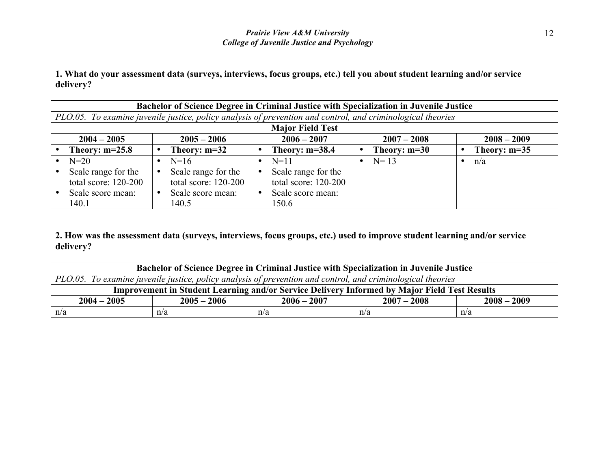| Bachelor of Science Degree in Criminal Justice with Specialization in Juvenile Justice |                                                                                                             |                         |                |                |  |  |  |  |
|----------------------------------------------------------------------------------------|-------------------------------------------------------------------------------------------------------------|-------------------------|----------------|----------------|--|--|--|--|
|                                                                                        | PLO.05. To examine juvenile justice, policy analysis of prevention and control, and criminological theories |                         |                |                |  |  |  |  |
|                                                                                        |                                                                                                             | <b>Major Field Test</b> |                |                |  |  |  |  |
| $2004 - 2005$                                                                          | $2005 - 2006$                                                                                               | $2006 - 2007$           | $2007 - 2008$  | $2008 - 2009$  |  |  |  |  |
| Theory: $m=25.8$                                                                       | Theory: $m=32$                                                                                              | Theory: $m=38.4$        | Theory: $m=30$ | Theory: $m=35$ |  |  |  |  |
| $N=20$                                                                                 | $N=16$                                                                                                      | $N=11$                  | $N = 13$       | n/a            |  |  |  |  |
| Scale range for the                                                                    | Scale range for the                                                                                         | Scale range for the     |                |                |  |  |  |  |
| total score: $120-200$                                                                 | total score: $120-200$                                                                                      | total score: $120-200$  |                |                |  |  |  |  |
| Scale score mean:                                                                      | Scale score mean:                                                                                           | Scale score mean:       |                |                |  |  |  |  |
| 140.1                                                                                  | 140.5                                                                                                       | 150.6                   |                |                |  |  |  |  |

| <b>Bachelor of Science Degree in Criminal Justice with Specialization in Juvenile Justice</b> |                                                                                                                     |     |     |     |  |  |  |  |
|-----------------------------------------------------------------------------------------------|---------------------------------------------------------------------------------------------------------------------|-----|-----|-----|--|--|--|--|
|                                                                                               | $\vert$ PLO.05. To examine juvenile justice, policy analysis of prevention and control, and criminological theories |     |     |     |  |  |  |  |
|                                                                                               | <b>Improvement in Student Learning and/or Service Delivery Informed by Major Field Test Results</b>                 |     |     |     |  |  |  |  |
| $2008 - 2009$<br>$2004 - 2005$<br>$2005 - 2006$<br>$2006 - 2007$<br>$2007 - 2008$             |                                                                                                                     |     |     |     |  |  |  |  |
| n/a                                                                                           | n/a                                                                                                                 | n/a | n/a | n/a |  |  |  |  |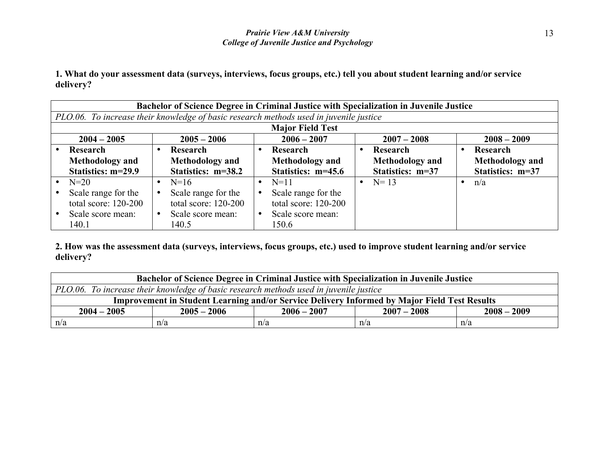| Bachelor of Science Degree in Criminal Justice with Specialization in Juvenile Justice |  |                        |           |                                                                                        |  |                        |                        |
|----------------------------------------------------------------------------------------|--|------------------------|-----------|----------------------------------------------------------------------------------------|--|------------------------|------------------------|
|                                                                                        |  |                        |           | PLO.06. To increase their knowledge of basic research methods used in juvenile justice |  |                        |                        |
|                                                                                        |  |                        |           | <b>Major Field Test</b>                                                                |  |                        |                        |
| $2004 - 2005$                                                                          |  | $2005 - 2006$          |           | $2006 - 2007$                                                                          |  | $2007 - 2008$          | $2008 - 2009$          |
| Research                                                                               |  | Research               |           | Research                                                                               |  | Research               | Research               |
| <b>Methodology</b> and                                                                 |  | <b>Methodology</b> and |           | <b>Methodology</b> and                                                                 |  | <b>Methodology</b> and | <b>Methodology</b> and |
| Statistics: m=29.9                                                                     |  | Statistics: m=38.2     |           | Statistics: m=45.6                                                                     |  | Statistics: m=37       | Statistics: m=37       |
| $N=20$                                                                                 |  | $N=16$                 | $\bullet$ | $N=11$                                                                                 |  | • $N=13$               | n/a                    |
| Scale range for the                                                                    |  | Scale range for the    |           | Scale range for the                                                                    |  |                        |                        |
| total score: $120-200$                                                                 |  | total score: $120-200$ |           | total score: 120-200                                                                   |  |                        |                        |
| Scale score mean:                                                                      |  | Scale score mean:      |           | Scale score mean:                                                                      |  |                        |                        |
| 140.1                                                                                  |  | 140.5                  |           | 150.6                                                                                  |  |                        |                        |

| <b>Bachelor of Science Degree in Criminal Justice with Specialization in Juvenile Justice</b>       |                                                                                        |     |     |     |  |
|-----------------------------------------------------------------------------------------------------|----------------------------------------------------------------------------------------|-----|-----|-----|--|
|                                                                                                     | PLO.06. To increase their knowledge of basic research methods used in juvenile justice |     |     |     |  |
| <b>Improvement in Student Learning and/or Service Delivery Informed by Major Field Test Results</b> |                                                                                        |     |     |     |  |
| $2008 - 2009$<br>$2005 - 2006$<br>$2006 - 2007$<br>$2004 - 2005$<br>$2007 - 2008$                   |                                                                                        |     |     |     |  |
| n/a                                                                                                 | n/a                                                                                    | n/a | n/a | n/a |  |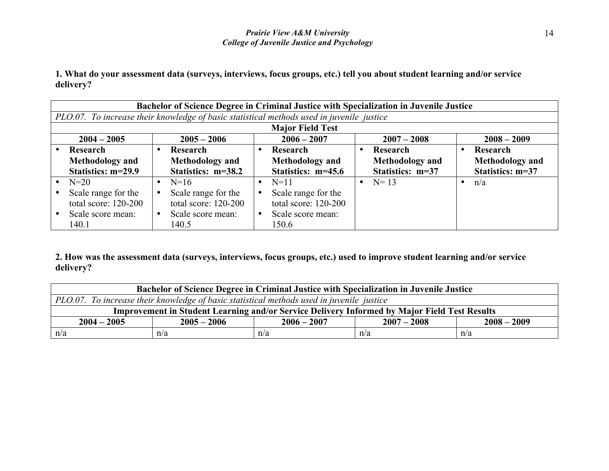| Bachelor of Science Degree in Criminal Justice with Specialization in Juvenile Justice |                                                                                           |           |                         |  |                        |  |                        |
|----------------------------------------------------------------------------------------|-------------------------------------------------------------------------------------------|-----------|-------------------------|--|------------------------|--|------------------------|
|                                                                                        | PLO.07. To increase their knowledge of basic statistical methods used in juvenile justice |           |                         |  |                        |  |                        |
|                                                                                        |                                                                                           |           | <b>Major Field Test</b> |  |                        |  |                        |
| $2004 - 2005$                                                                          | $2005 - 2006$                                                                             |           | $2006 - 2007$           |  | $2007 - 2008$          |  | $2008 - 2009$          |
| Research                                                                               | Research                                                                                  |           | Research                |  | Research               |  | Research               |
| <b>Methodology</b> and                                                                 | <b>Methodology</b> and                                                                    |           | <b>Methodology</b> and  |  | <b>Methodology</b> and |  | <b>Methodology</b> and |
| Statistics: m=29.9                                                                     | Statistics: m=38.2                                                                        |           | Statistics: m=45.6      |  | Statistics: m=37       |  | Statistics: m=37       |
| $N=20$                                                                                 | $N=16$                                                                                    | $\bullet$ | $N=11$                  |  | • $N=13$               |  | n/a                    |
| Scale range for the                                                                    | Scale range for the                                                                       |           | Scale range for the     |  |                        |  |                        |
| total score: $120-200$                                                                 | total score: $120-200$                                                                    |           | total score: 120-200    |  |                        |  |                        |
| Scale score mean:                                                                      | Scale score mean:                                                                         |           | Scale score mean:       |  |                        |  |                        |
| 140.1                                                                                  | 140.5                                                                                     |           | 150.6                   |  |                        |  |                        |

| <b>Bachelor of Science Degree in Criminal Justice with Specialization in Juvenile Justice</b>       |               |               |               |               |  |
|-----------------------------------------------------------------------------------------------------|---------------|---------------|---------------|---------------|--|
| PLO.07. To increase their knowledge of basic statistical methods used in juvenile justice           |               |               |               |               |  |
| <b>Improvement in Student Learning and/or Service Delivery Informed by Major Field Test Results</b> |               |               |               |               |  |
| $2004 - 2005$                                                                                       | $2005 - 2006$ | $2006 - 2007$ | $2007 - 2008$ | $2008 - 2009$ |  |
| n/a                                                                                                 | n/a           | n/a           | n/a           | n/a           |  |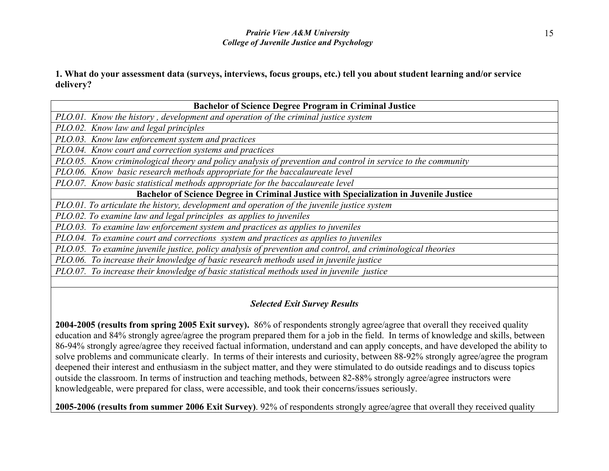| <b>Bachelor of Science Degree Program in Criminal Justice</b>                                                    |
|------------------------------------------------------------------------------------------------------------------|
| PLO.01. Know the history, development and operation of the criminal justice system                               |
| PLO.02. Know law and legal principles                                                                            |
| PLO.03. Know law enforcement system and practices                                                                |
| PLO.04. Know court and correction systems and practices                                                          |
| PLO.05. Know criminological theory and policy analysis of prevention and control in service to the community     |
| PLO.06. Know basic research methods appropriate for the baccalaureate level                                      |
| PLO.07. Know basic statistical methods appropriate for the baccalaureate level                                   |
| Bachelor of Science Degree in Criminal Justice with Specialization in Juvenile Justice                           |
| PLO.01. To articulate the history, development and operation of the juvenile justice system                      |
| PLO.02. To examine law and legal principles as applies to juveniles                                              |
| PLO.03. To examine law enforcement system and practices as applies to juveniles                                  |
| PLO.04. To examine court and corrections system and practices as applies to juveniles                            |
| $DI \cap 0.5$ To graving invaries incline notice anglesis of provention and control and quining logical theories |

*PLO.05. To examine juvenile justice, policy analysis of prevention and control, and criminological theories*

*PLO.06. To increase their knowledge of basic research methods used in juvenile justice*

*PLO.07. To increase their knowledge of basic statistical methods used in juvenile justice*

## *Selected Exit Survey Results*

**2004-2005 (results from spring 2005 Exit survey).** 86% of respondents strongly agree/agree that overall they received quality education and 84% strongly agree/agree the program prepared them for a job in the field. In terms of knowledge and skills, between 86-94% strongly agree/agree they received factual information, understand and can apply concepts, and have developed the ability to solve problems and communicate clearly. In terms of their interests and curiosity, between 88-92% strongly agree/agree the program deepened their interest and enthusiasm in the subject matter, and they were stimulated to do outside readings and to discuss topics outside the classroom. In terms of instruction and teaching methods, between 82-88% strongly agree/agree instructors were knowledgeable, were prepared for class, were accessible, and took their concerns/issues seriously.

**2005-2006 (results from summer 2006 Exit Survey)**. 92% of respondents strongly agree/agree that overall they received quality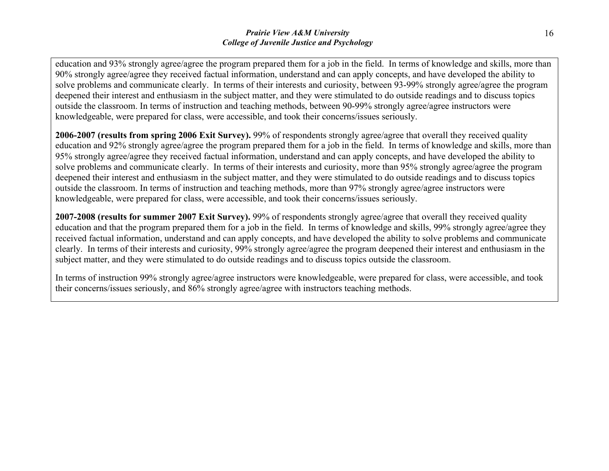education and 93% strongly agree/agree the program prepared them for a job in the field. In terms of knowledge and skills, more than 90% strongly agree/agree they received factual information, understand and can apply concepts, and have developed the ability to solve problems and communicate clearly. In terms of their interests and curiosity, between 93-99% strongly agree/agree the program deepened their interest and enthusiasm in the subject matter, and they were stimulated to do outside readings and to discuss topics outside the classroom. In terms of instruction and teaching methods, between 90-99% strongly agree/agree instructors were knowledgeable, were prepared for class, were accessible, and took their concerns/issues seriously.

**2006-2007 (results from spring 2006 Exit Survey).** 99% of respondents strongly agree/agree that overall they received quality education and 92% strongly agree/agree the program prepared them for a job in the field. In terms of knowledge and skills, more than 95% strongly agree/agree they received factual information, understand and can apply concepts, and have developed the ability to solve problems and communicate clearly. In terms of their interests and curiosity, more than 95% strongly agree/agree the program deepened their interest and enthusiasm in the subject matter, and they were stimulated to do outside readings and to discuss topics outside the classroom. In terms of instruction and teaching methods, more than 97% strongly agree/agree instructors were knowledgeable, were prepared for class, were accessible, and took their concerns/issues seriously.

**2007-2008 (results for summer 2007 Exit Survey).** 99% of respondents strongly agree/agree that overall they received quality education and that the program prepared them for a job in the field. In terms of knowledge and skills, 99% strongly agree/agree they received factual information, understand and can apply concepts, and have developed the ability to solve problems and communicate clearly. In terms of their interests and curiosity, 99% strongly agree/agree the program deepened their interest and enthusiasm in the subject matter, and they were stimulated to do outside readings and to discuss topics outside the classroom.

In terms of instruction 99% strongly agree/agree instructors were knowledgeable, were prepared for class, were accessible, and took their concerns/issues seriously, and 86% strongly agree/agree with instructors teaching methods.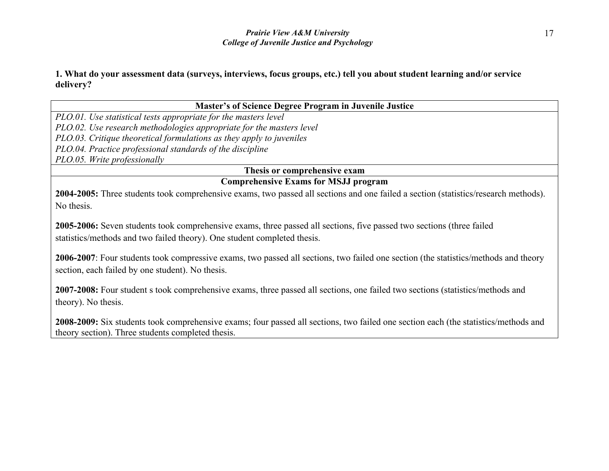#### **Master's of Science Degree Program in Juvenile Justice**

*PLO.01. Use statistical tests appropriate for the masters level PLO.02. Use research methodologies appropriate for the masters level PLO.03. Critique theoretical formulations as they apply to juveniles*

*PLO.04. Practice professional standards of the discipline*

*PLO.05. Write professionally*

# **Thesis or comprehensive exam**

## **Comprehensive Exams for MSJJ program**

**2004-2005:** Three students took comprehensive exams, two passed all sections and one failed a section (statistics/research methods). No thesis.

**2005-2006:** Seven students took comprehensive exams, three passed all sections, five passed two sections (three failed statistics/methods and two failed theory). One student completed thesis.

**2006-2007**: Four students took compressive exams, two passed all sections, two failed one section (the statistics/methods and theory section, each failed by one student). No thesis.

**2007-2008:** Four student s took comprehensive exams, three passed all sections, one failed two sections (statistics/methods and theory). No thesis.

**2008-2009:** Six students took comprehensive exams; four passed all sections, two failed one section each (the statistics/methods and theory section). Three students completed thesis.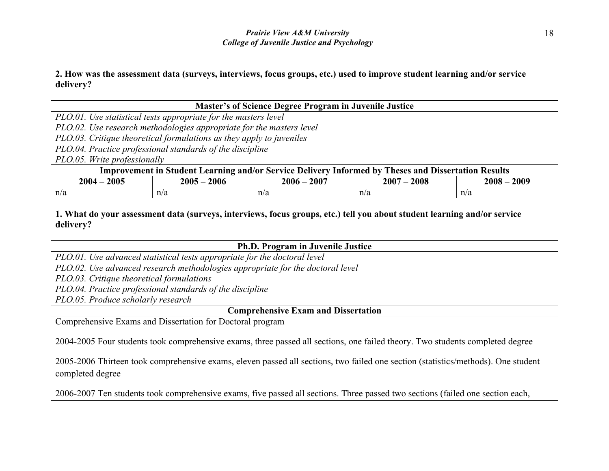**2. How was the assessment data (surveys, interviews, focus groups, etc.) used to improve student learning and/or service delivery?** 

|                                                                                                     | <b>Master's of Science Degree Program in Juvenile Justice</b>        |     |     |     |  |  |
|-----------------------------------------------------------------------------------------------------|----------------------------------------------------------------------|-----|-----|-----|--|--|
|                                                                                                     | PLO.01. Use statistical tests appropriate for the masters level      |     |     |     |  |  |
|                                                                                                     | PLO.02. Use research methodologies appropriate for the masters level |     |     |     |  |  |
|                                                                                                     | PLO.03. Critique theoretical formulations as they apply to juveniles |     |     |     |  |  |
|                                                                                                     | PLO.04. Practice professional standards of the discipline            |     |     |     |  |  |
|                                                                                                     | PLO.05. Write professionally                                         |     |     |     |  |  |
| Improvement in Student Learning and/or Service Delivery Informed by Theses and Dissertation Results |                                                                      |     |     |     |  |  |
| $2006 - 2007$<br>$2004 - 2005$<br>$2005 - 2006$<br>$2007 - 2008$<br>$2008 - 2009$                   |                                                                      |     |     |     |  |  |
| n/a                                                                                                 | n/a                                                                  | n/a | n/a | n/a |  |  |

## **1. What do your assessment data (surveys, interviews, focus groups, etc.) tell you about student learning and/or service delivery?**

| <b>Ph.D. Program in Juvenile Justice</b>                                                                                          |  |  |  |  |
|-----------------------------------------------------------------------------------------------------------------------------------|--|--|--|--|
| PLO.01. Use advanced statistical tests appropriate for the doctoral level                                                         |  |  |  |  |
| PLO.02. Use advanced research methodologies appropriate for the doctoral level                                                    |  |  |  |  |
| PLO.03. Critique theoretical formulations                                                                                         |  |  |  |  |
| PLO.04. Practice professional standards of the discipline                                                                         |  |  |  |  |
| PLO.05. Produce scholarly research                                                                                                |  |  |  |  |
| <b>Comprehensive Exam and Dissertation</b>                                                                                        |  |  |  |  |
| Comprehensive Exams and Dissertation for Doctoral program                                                                         |  |  |  |  |
| 2004-2005 Four students took comprehensive exams, three passed all sections, one failed theory. Two students completed degree     |  |  |  |  |
| 2005-2006 Thirteen took comprehensive exams, eleven passed all sections, two failed one section (statistics/methods). One student |  |  |  |  |

2006-2007 Ten students took comprehensive exams, five passed all sections. Three passed two sections (failed one section each,

completed degree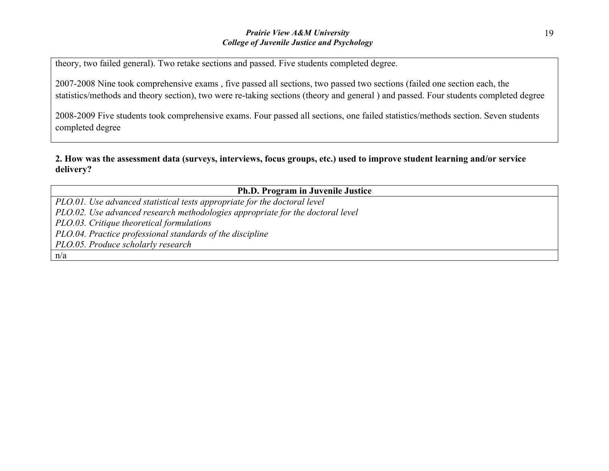theory, two failed general). Two retake sections and passed. Five students completed degree.

2007-2008 Nine took comprehensive exams , five passed all sections, two passed two sections (failed one section each, the statistics/methods and theory section), two were re-taking sections (theory and general ) and passed. Four students completed degree

2008-2009 Five students took comprehensive exams. Four passed all sections, one failed statistics/methods section. Seven students completed degree

| <b>Ph.D. Program in Juvenile Justice</b>                                       |  |  |  |  |
|--------------------------------------------------------------------------------|--|--|--|--|
| PLO.01. Use advanced statistical tests appropriate for the doctoral level      |  |  |  |  |
| PLO.02. Use advanced research methodologies appropriate for the doctoral level |  |  |  |  |
| PLO.03. Critique theoretical formulations                                      |  |  |  |  |
| PLO.04. Practice professional standards of the discipline                      |  |  |  |  |
| PLO.05. Produce scholarly research                                             |  |  |  |  |
| n/a                                                                            |  |  |  |  |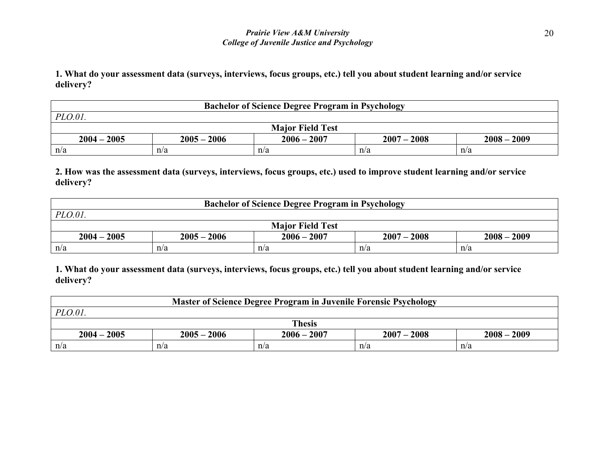**1. What do your assessment data (surveys, interviews, focus groups, etc.) tell you about student learning and/or service delivery?**

| <b>Bachelor of Science Degree Program in Psychology</b>                           |     |     |     |     |  |  |  |
|-----------------------------------------------------------------------------------|-----|-----|-----|-----|--|--|--|
| PLO.01                                                                            |     |     |     |     |  |  |  |
| <b>Major Field Test</b>                                                           |     |     |     |     |  |  |  |
| $2007 - 2008$<br>$2004 - 2005$<br>$2005 - 2006$<br>$2006 - 2007$<br>$2008 - 2009$ |     |     |     |     |  |  |  |
| n/a                                                                               | n/a | n/a | n/a | n/a |  |  |  |

#### **2. How was the assessment data (surveys, interviews, focus groups, etc.) used to improve student learning and/or service delivery?**

| <b>Bachelor of Science Degree Program in Psychology</b> |               |               |               |               |  |  |
|---------------------------------------------------------|---------------|---------------|---------------|---------------|--|--|
| $PLO.01$ .                                              |               |               |               |               |  |  |
| <b>Major Field Test</b>                                 |               |               |               |               |  |  |
| $2004 - 2005$                                           | $2005 - 2006$ | $2006 - 2007$ | $2007 - 2008$ | $2008 - 2009$ |  |  |
| n/a                                                     | n/a           | n/a           | n/a           | n/a           |  |  |

| Master of Science Degree Program in Juvenile Forensic Psychology |               |               |               |               |  |  |  |
|------------------------------------------------------------------|---------------|---------------|---------------|---------------|--|--|--|
| $PLO.01$ .                                                       |               |               |               |               |  |  |  |
| <b>Thesis</b>                                                    |               |               |               |               |  |  |  |
| $2004 - 2005$                                                    | $2005 - 2006$ | $2006 - 2007$ | $2007 - 2008$ | $2008 - 2009$ |  |  |  |
| n/a                                                              | n/a           | n/a           | n/a           | n/a           |  |  |  |